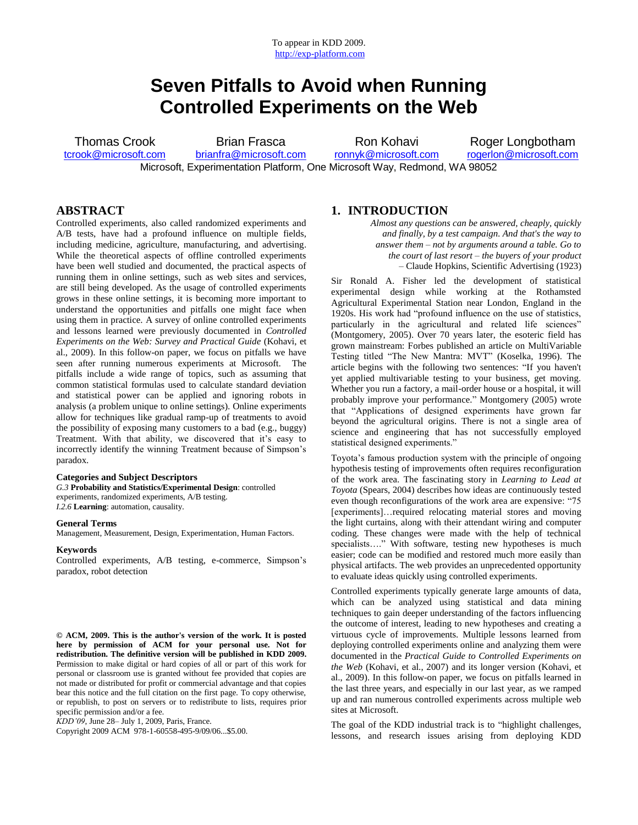To appear in KDD 2009. http://exp-platform.com

# **Seven Pitfalls to Avoid when Running Controlled Experiments on the Web**

Thomas Crook Brian Frasca Ron Kohavi Roger Longbotham

[tcrook@microsoft.com](mailto:tcrook@microsoft.com) [brianfra@microsoft.com](mailto:brianfra@microsoft.com) [ronnyk@microsoft.com](mailto:ronnyk@microsoft.com) Microsoft, Experimentation Platform, One Microsoft Way, Redmond, WA 98052

## **ABSTRACT**

Controlled experiments, also called randomized experiments and A/B tests, have had a profound influence on multiple fields, including medicine, agriculture, manufacturing, and advertising. While the theoretical aspects of offline controlled experiments have been well studied and documented, the practical aspects of running them in online settings, such as web sites and services, are still being developed. As the usage of controlled experiments grows in these online settings, it is becoming more important to understand the opportunities and pitfalls one might face when using them in practice. A survey of online controlled experiments and lessons learned were previously documented in *Controlled Experiments on the Web: Survey and Practical Guide* (Kohavi, et al., 2009). In this follow-on paper, we focus on pitfalls we have seen after running numerous experiments at Microsoft. The pitfalls include a wide range of topics, such as assuming that common statistical formulas used to calculate standard deviation and statistical power can be applied and ignoring robots in analysis (a problem unique to online settings). Online experiments allow for techniques like gradual ramp-up of treatments to avoid the possibility of exposing many customers to a bad (e.g., buggy) Treatment. With that ability, we discovered that it's easy to incorrectly identify the winning Treatment because of Simpson's paradox.

#### **Categories and Subject Descriptors**

*G.3* **Probability and Statistics/Experimental Design**: controlled experiments, randomized experiments, A/B testing. *I.2.6* **Learning**: automation, causality.

#### **General Terms**

Management, Measurement, Design, Experimentation, Human Factors.

#### **Keywords**

Controlled experiments, A/B testing, e-commerce, Simpson's paradox, robot detection

**© ACM, 2009. This is the author's version of the work. It is posted here by permission of ACM for your personal use. Not for redistribution. The definitive version will be published in KDD 2009.** Permission to make digital or hard copies of all or part of this work for personal or classroom use is granted without fee provided that copies are not made or distributed for profit or commercial advantage and that copies bear this notice and the full citation on the first page. To copy otherwise, or republish, to post on servers or to redistribute to lists, requires prior specific permission and/or a fee.

*KDD'09*, June 28– July 1, 2009, Paris, France.

Copyright 2009 ACM 978-1-60558-495-9/09/06...\$5.00.

#### **1. INTRODUCTION**

*Almost any questions can be answered, cheaply, quickly and finally, by a test campaign. And that's the way to answer them – not by arguments around a table. Go to the court of last resort – the buyers of your product –* Claude Hopkins, Scientific Advertising (1923)

Sir Ronald A. Fisher led the development of statistical experimental design while working at the Rothamsted Agricultural Experimental Station near London, England in the 1920s. His work had "profound influence on the use of statistics, particularly in the agricultural and related life sciences" (Montgomery, 2005). Over 70 years later, the esoteric field has grown mainstream: Forbes published an article on MultiVariable Testing titled "The New Mantra: MVT" (Koselka, 1996). The article begins with the following two sentences: "If you haven't yet applied multivariable testing to your business, get moving. Whether you run a factory, a mail-order house or a hospital, it will probably improve your performance." Montgomery (2005) wrote that "Applications of designed experiments have grown far beyond the agricultural origins. There is not a single area of science and engineering that has not successfully employed statistical designed experiments."

Toyota's famous production system with the principle of ongoing hypothesis testing of improvements often requires reconfiguration of the work area. The fascinating story in *Learning to Lead at Toyota* (Spears, 2004) describes how ideas are continuously tested even though reconfigurations of the work area are expensive: "75 [experiments]…required relocating material stores and moving the light curtains, along with their attendant wiring and computer coding. These changes were made with the help of technical specialists…." With software, testing new hypotheses is much easier; code can be modified and restored much more easily than physical artifacts. The web provides an unprecedented opportunity to evaluate ideas quickly using controlled experiments.

Controlled experiments typically generate large amounts of data, which can be analyzed using statistical and data mining techniques to gain deeper understanding of the factors influencing the outcome of interest, leading to new hypotheses and creating a virtuous cycle of improvements. Multiple lessons learned from deploying controlled experiments online and analyzing them were documented in the *Practical Guide to Controlled Experiments on the Web* (Kohavi, et al., 2007) and its longer version (Kohavi, et al., 2009). In this follow-on paper, we focus on pitfalls learned in the last three years, and especially in our last year, as we ramped up and ran numerous controlled experiments across multiple web sites at Microsoft.

The goal of the KDD industrial track is to "highlight challenges, lessons, and research issues arising from deploying KDD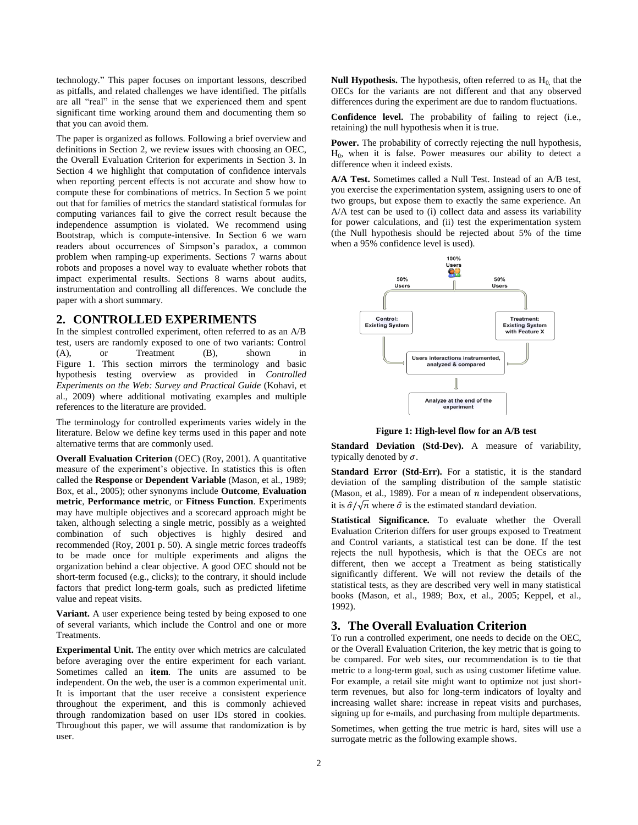technology." This paper focuses on important lessons, described as pitfalls, and related challenges we have identified. The pitfalls are all "real" in the sense that we experienced them and spent significant time working around them and documenting them so that you can avoid them.

The paper is organized as follows. Following a brief overview and definitions in Section [2,](#page-1-0) we review issues with choosing an OEC, the Overall Evaluation Criterion for experiments in Section [3.](#page-1-1) In Section [4](#page-3-0) we highlight that computation of confidence intervals when reporting percent effects is not accurate and show how to compute these for combinations of metrics. In Section [5](#page-3-1) we point out that for families of metrics the standard statistical formulas for computing variances fail to give the correct result because the independence assumption is violated. We recommend using Bootstrap, which is compute-intensive. In Section [6](#page-4-0) we warn readers about occurrences of Simpson's paradox, a common problem when ramping-up experiments. Sections [7](#page-5-0) warns about robots and proposes a novel way to evaluate whether robots that impact experimental results. Sections [8](#page-5-1) warns about audits, instrumentation and controlling all differences. We conclude the paper with a short summary.

#### <span id="page-1-0"></span>**2. CONTROLLED EXPERIMENTS**

In the simplest controlled experiment, often referred to as an A/B test, users are randomly exposed to one of two variants: Control (A), or Treatment (B), shown i[n](#page-1-2)  [Figure](#page-1-2) 1. This section mirrors the terminology and basic hypothesis testing overview as provided in *Controlled Experiments on the Web: Survey and Practical Guide* (Kohavi, et al., 2009) where additional motivating examples and multiple references to the literature are provided.

The terminology for controlled experiments varies widely in the literature. Below we define key terms used in this paper and note alternative terms that are commonly used.

**Overall Evaluation Criterion** (OEC) (Roy, 2001). A quantitative measure of the experiment's objective. In statistics this is often called the **Response** or **Dependent Variable** (Mason, et al., 1989; Box, et al., 2005); other synonyms include **Outcome**, **Evaluation metric**, **Performance metric**, or **Fitness Function**. Experiments may have multiple objectives and a scorecard approach might be taken, although selecting a single metric, possibly as a weighted combination of such objectives is highly desired and recommended (Roy, 2001 p. 50). A single metric forces tradeoffs to be made once for multiple experiments and aligns the organization behind a clear objective. A good OEC should not be short-term focused (e.g., clicks); to the contrary, it should include factors that predict long-term goals, such as predicted lifetime value and repeat visits.

**Variant.** A user experience being tested by being exposed to one of several variants, which include the Control and one or more Treatments.

**Experimental Unit.** The entity over which metrics are calculated before averaging over the entire experiment for each variant. Sometimes called an **item**. The units are assumed to be independent. On the web, the user is a common experimental unit. It is important that the user receive a consistent experience throughout the experiment, and this is commonly achieved through randomization based on user IDs stored in cookies. Throughout this paper, we will assume that randomization is by user.

**Null Hypothesis.** The hypothesis, often referred to as  $H_0$ , that the OECs for the variants are not different and that any observed differences during the experiment are due to random fluctuations.

**Confidence level.** The probability of failing to reject (i.e., retaining) the null hypothesis when it is true.

Power. The probability of correctly rejecting the null hypothesis, H0 , when it is false. Power measures our ability to detect a difference when it indeed exists.

**A/A Test.** Sometimes called a Null Test. Instead of an A/B test, you exercise the experimentation system, assigning users to one of two groups, but expose them to exactly the same experience. An A/A test can be used to (i) collect data and assess its variability for power calculations, and (ii) test the experimentation system (the Null hypothesis should be rejected about 5% of the time when a 95% confidence level is used).



**Figure 1: High-level flow for an A/B test** 

<span id="page-1-2"></span>**Standard Deviation (Std-Dev).** A measure of variability, typically denoted by  $\sigma$ .

**Standard Error (Std-Err).** For a statistic, it is the standard deviation of the sampling distribution of the sample statistic (Mason, et al., 1989). For a mean of  $n$  independent observations, it is  $\hat{\sigma}/\sqrt{n}$  where  $\hat{\sigma}$  is the estimated standard deviation.

**Statistical Significance.** To evaluate whether the Overall Evaluation Criterion differs for user groups exposed to Treatment and Control variants, a statistical test can be done. If the test rejects the null hypothesis, which is that the OECs are not different, then we accept a Treatment as being statistically significantly different. We will not review the details of the statistical tests, as they are described very well in many statistical books (Mason, et al., 1989; Box, et al., 2005; Keppel, et al., 1992).

## <span id="page-1-1"></span>**3. The Overall Evaluation Criterion**

To run a controlled experiment, one needs to decide on the OEC, or the Overall Evaluation Criterion, the key metric that is going to be compared. For web sites, our recommendation is to tie that metric to a long-term goal, such as using customer lifetime value. For example, a retail site might want to optimize not just shortterm revenues, but also for long-term indicators of loyalty and increasing wallet share: increase in repeat visits and purchases, signing up for e-mails, and purchasing from multiple departments.

Sometimes, when getting the true metric is hard, sites will use a surrogate metric as the following example shows.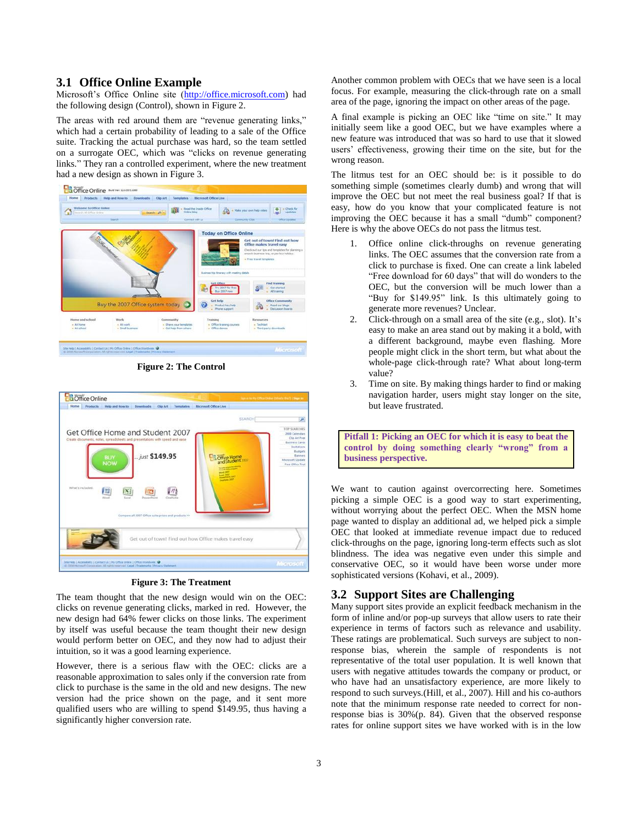#### **3.1 Office Online Example**

Microsoft's Office Online site [\(http://office.microsoft.com\)](http://office.microsoft.com/) had the following design (Control), shown i[n Figure 2.](#page-2-0)

The areas with red around them are "revenue generating links," which had a certain probability of leading to a sale of the Office suite. Tracking the actual purchase was hard, so the team settled on a surrogate OEC, which was "clicks on revenue generating links." They ran a controlled experiment, where the new treatment had a new design as shown in [Figure 3.](#page-2-1)



**Figure 2: The Control**

<span id="page-2-0"></span>

**Figure 3: The Treatment**

<span id="page-2-1"></span>The team thought that the new design would win on the OEC: clicks on revenue generating clicks, marked in red. However, the new design had 64% fewer clicks on those links. The experiment by itself was useful because the team thought their new design would perform better on OEC, and they now had to adjust their intuition, so it was a good learning experience.

However, there is a serious flaw with the OEC: clicks are a reasonable approximation to sales only if the conversion rate from click to purchase is the same in the old and new designs. The new version had the price shown on the page, and it sent more qualified users who are willing to spend \$149.95, thus having a significantly higher conversion rate.

Another common problem with OECs that we have seen is a local focus. For example, measuring the click-through rate on a small area of the page, ignoring the impact on other areas of the page.

A final example is picking an OEC like "time on site." It may initially seem like a good OEC, but we have examples where a new feature was introduced that was so hard to use that it slowed users' effectiveness, growing their time on the site, but for the wrong reason.

The litmus test for an OEC should be: is it possible to do something simple (sometimes clearly dumb) and wrong that will improve the OEC but not meet the real business goal? If that is easy, how do you know that your complicated feature is not improving the OEC because it has a small "dumb" component? Here is why the above OECs do not pass the litmus test.

- 1. Office online click-throughs on revenue generating links. The OEC assumes that the conversion rate from a click to purchase is fixed. One can create a link labeled "Free download for 60 days" that will do wonders to the OEC, but the conversion will be much lower than a "Buy for \$149.95" link. Is this ultimately going to generate more revenues? Unclear.
- 2. Click-through on a small area of the site (e.g., slot). It's easy to make an area stand out by making it a bold, with a different background, maybe even flashing. More people might click in the short term, but what about the whole-page click-through rate? What about long-term value?
- 3. Time on site. By making things harder to find or making navigation harder, users might stay longer on the site, but leave frustrated.

**Pitfall 1: Picking an OEC for which it is easy to beat the control by doing something clearly "wrong" from a business perspective.**

We want to caution against overcorrecting here. Sometimes picking a simple OEC is a good way to start experimenting, without worrying about the perfect OEC. When the MSN home page wanted to display an additional ad, we helped pick a simple OEC that looked at immediate revenue impact due to reduced click-throughs on the page, ignoring long-term effects such as slot blindness. The idea was negative even under this simple and conservative OEC, so it would have been worse under more sophisticated versions (Kohavi, et al., 2009).

## **3.2 Support Sites are Challenging**

Many support sites provide an explicit feedback mechanism in the form of inline and/or pop-up surveys that allow users to rate their experience in terms of factors such as relevance and usability. These ratings are problematical. Such surveys are subject to nonresponse bias, wherein the sample of respondents is not representative of the total user population. It is well known that users with negative attitudes towards the company or product, or who have had an unsatisfactory experience, are more likely to respond to such surveys.(Hill, et al., 2007). Hill and his co-authors note that the minimum response rate needed to correct for nonresponse bias is 30%(p. 84). Given that the observed response rates for online support sites we have worked with is in the low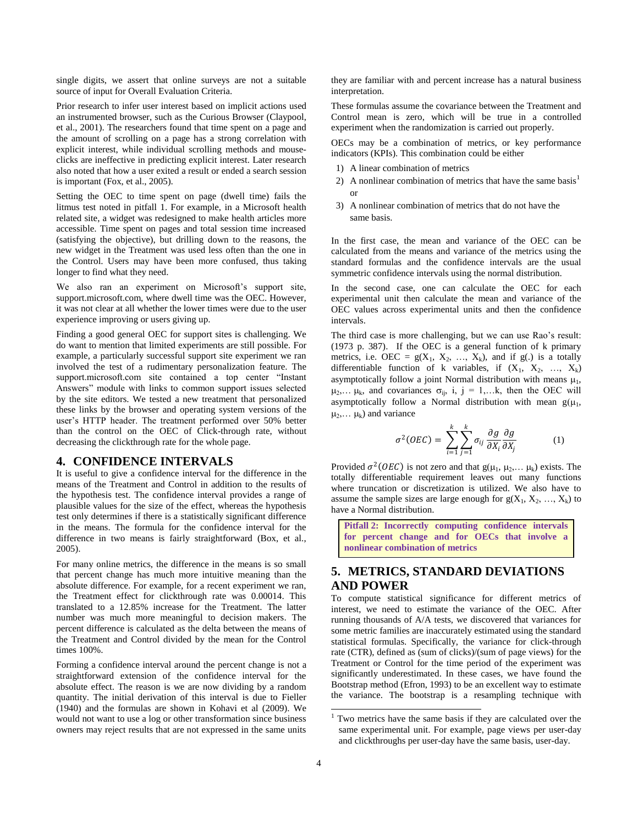single digits, we assert that online surveys are not a suitable source of input for Overall Evaluation Criteria.

Prior research to infer user interest based on implicit actions used an instrumented browser, such as the Curious Browser (Claypool, et al., 2001). The researchers found that time spent on a page and the amount of scrolling on a page has a strong correlation with explicit interest, while individual scrolling methods and mouseclicks are ineffective in predicting explicit interest. Later research also noted that how a user exited a result or ended a search session is important (Fox, et al., 2005).

Setting the OEC to time spent on page (dwell time) fails the litmus test noted in pitfall 1. For example, in a Microsoft health related site, a widget was redesigned to make health articles more accessible. Time spent on pages and total session time increased (satisfying the objective), but drilling down to the reasons, the new widget in the Treatment was used less often than the one in the Control. Users may have been more confused, thus taking longer to find what they need.

We also ran an experiment on Microsoft's support site, support.microsoft.com, where dwell time was the OEC. However, it was not clear at all whether the lower times were due to the user experience improving or users giving up.

Finding a good general OEC for support sites is challenging. We do want to mention that limited experiments are still possible. For example, a particularly successful support site experiment we ran involved the test of a rudimentary personalization feature. The support.microsoft.com site contained a top center "Instant Answers" module with links to common support issues selected by the site editors. We tested a new treatment that personalized these links by the browser and operating system versions of the user's HTTP header. The treatment performed over 50% better than the control on the OEC of Click-through rate, without decreasing the clickthrough rate for the whole page.

#### <span id="page-3-0"></span>**4. CONFIDENCE INTERVALS**

It is useful to give a confidence interval for the difference in the means of the Treatment and Control in addition to the results of the hypothesis test. The confidence interval provides a range of plausible values for the size of the effect, whereas the hypothesis test only determines if there is a statistically significant difference in the means. The formula for the confidence interval for the difference in two means is fairly straightforward (Box, et al., 2005).

For many online metrics, the difference in the means is so small that percent change has much more intuitive meaning than the absolute difference. For example, for a recent experiment we ran, the Treatment effect for clickthrough rate was 0.00014. This translated to a 12.85% increase for the Treatment. The latter number was much more meaningful to decision makers. The percent difference is calculated as the delta between the means of the Treatment and Control divided by the mean for the Control times 100%.

Forming a confidence interval around the percent change is not a straightforward extension of the confidence interval for the absolute effect. The reason is we are now dividing by a random quantity. The initial derivation of this interval is due to Fieller (1940) and the formulas are shown in Kohavi et al (2009). We would not want to use a log or other transformation since business owners may reject results that are not expressed in the same units

they are familiar with and percent increase has a natural business interpretation.

These formulas assume the covariance between the Treatment and Control mean is zero, which will be true in a controlled experiment when the randomization is carried out properly.

OECs may be a combination of metrics, or key performance indicators (KPIs). This combination could be either

- 1) A linear combination of metrics
- 2) A nonlinear combination of metrics that have the same basis<sup>1</sup> or
- 3) A nonlinear combination of metrics that do not have the same basis.

In the first case, the mean and variance of the OEC can be calculated from the means and variance of the metrics using the standard formulas and the confidence intervals are the usual symmetric confidence intervals using the normal distribution.

In the second case, one can calculate the OEC for each experimental unit then calculate the mean and variance of the OEC values across experimental units and then the confidence intervals.

The third case is more challenging, but we can use Rao's result: (1973 p. 387). If the OEC is a general function of k primary metrics, i.e. OEC =  $g(X_1, X_2, ..., X_k)$ , and if  $g(.)$  is a totally differentiable function of k variables, if  $(X_1, X_2, ..., X_k)$ asymptotically follow a joint Normal distribution with means  $\mu_1$ ,  $\mu_2, \ldots, \mu_k$ , and covariances  $\sigma_{ij}$ , i, j = 1,...k, then the OEC will asymptotically follow a Normal distribution with mean  $g(\mu_1, \mu_2)$  $\mu_2$ ,...  $\mu_k$ ) and variance

$$
\sigma^2(OEC) = \sum_{i=1}^k \sum_{j=1}^k \sigma_{ij} \frac{\partial g}{\partial X_i} \frac{\partial g}{\partial X_j}
$$
(1)

Provided  $\sigma^2(OEC)$  is not zero and that  $g(\mu_1, \mu_2, \dots \mu_k)$  exists. The totally differentiable requirement leaves out many functions where truncation or discretization is utilized. We also have to assume the sample sizes are large enough for  $g(X_1, X_2, ..., X_k)$  to have a Normal distribution.

**Pitfall 2: Incorrectly computing confidence intervals for percent change and for OECs that involve a nonlinear combination of metrics**

## <span id="page-3-1"></span>**5. METRICS, STANDARD DEVIATIONS AND POWER**

To compute statistical significance for different metrics of interest, we need to estimate the variance of the OEC. After running thousands of A/A tests, we discovered that variances for some metric families are inaccurately estimated using the standard statistical formulas. Specifically, the variance for click-through rate (CTR), defined as (sum of clicks)/(sum of page views) for the Treatment or Control for the time period of the experiment was significantly underestimated. In these cases, we have found the Bootstrap method (Efron, 1993) to be an excellent way to estimate the variance. The bootstrap is a resampling technique with

l

 $1$  Two metrics have the same basis if they are calculated over the same experimental unit. For example, page views per user-day and clickthroughs per user-day have the same basis, user-day.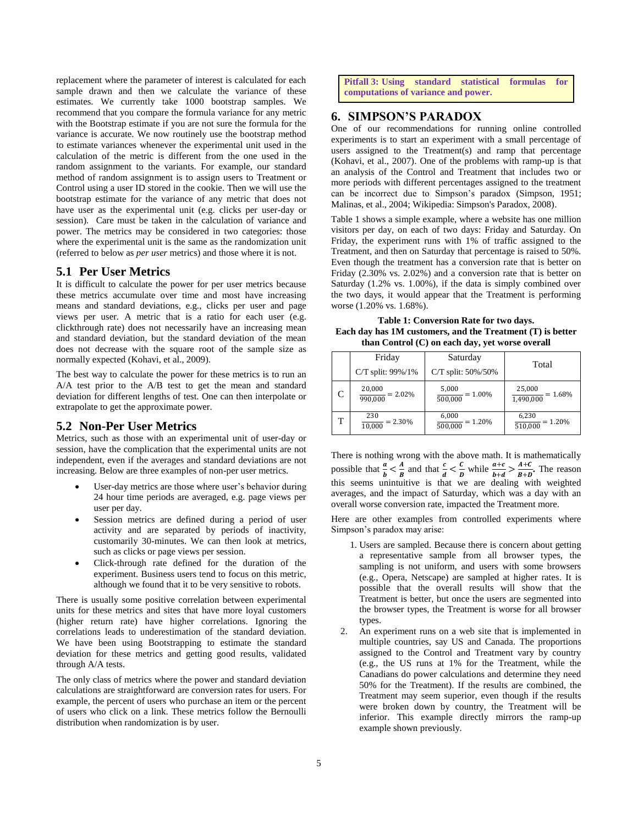replacement where the parameter of interest is calculated for each sample drawn and then we calculate the variance of these estimates. We currently take 1000 bootstrap samples. We recommend that you compare the formula variance for any metric with the Bootstrap estimate if you are not sure the formula for the variance is accurate. We now routinely use the bootstrap method to estimate variances whenever the experimental unit used in the calculation of the metric is different from the one used in the random assignment to the variants. For example, our standard method of random assignment is to assign users to Treatment or Control using a user ID stored in the cookie. Then we will use the bootstrap estimate for the variance of any metric that does not have user as the experimental unit (e.g. clicks per user-day or session). Care must be taken in the calculation of variance and power. The metrics may be considered in two categories: those where the experimental unit is the same as the randomization unit (referred to below as *per user* metrics) and those where it is not.

#### **5.1 Per User Metrics**

It is difficult to calculate the power for per user metrics because these metrics accumulate over time and most have increasing means and standard deviations, e.g., clicks per user and page views per user. A metric that is a ratio for each user (e.g. clickthrough rate) does not necessarily have an increasing mean and standard deviation, but the standard deviation of the mean does not decrease with the square root of the sample size as normally expected (Kohavi, et al., 2009).

The best way to calculate the power for these metrics is to run an A/A test prior to the A/B test to get the mean and standard deviation for different lengths of test. One can then interpolate or extrapolate to get the approximate power.

## **5.2 Non-Per User Metrics**

Metrics, such as those with an experimental unit of user-day or session, have the complication that the experimental units are not independent, even if the averages and standard deviations are not increasing. Below are three examples of non-per user metrics.

- User-day metrics are those where user's behavior during 24 hour time periods are averaged, e.g. page views per user per day.
- Session metrics are defined during a period of user activity and are separated by periods of inactivity, customarily 30-minutes. We can then look at metrics, such as clicks or page views per session.
- Click-through rate defined for the duration of the experiment. Business users tend to focus on this metric, although we found that it to be very sensitive to robots.

There is usually some positive correlation between experimental units for these metrics and sites that have more loyal customers (higher return rate) have higher correlations. Ignoring the correlations leads to underestimation of the standard deviation. We have been using Bootstrapping to estimate the standard deviation for these metrics and getting good results, validated through A/A tests.

The only class of metrics where the power and standard deviation calculations are straightforward are conversion rates for users. For example, the percent of users who purchase an item or the percent of users who click on a link. These metrics follow the Bernoulli distribution when randomization is by user.

**Pitfall 3: Using standard statistical formulas for computations of variance and power.** 

## <span id="page-4-0"></span>**6. SIMPSON'S PARADOX**

One of our recommendations for running online controlled experiments is to start an experiment with a small percentage of users assigned to the Treatment(s) and ramp that percentage (Kohavi, et al., 2007). One of the problems with ramp-up is that an analysis of the Control and Treatment that includes two or more periods with different percentages assigned to the treatment can be incorrect due to Simpson's paradox (Simpson, 1951; Malinas, et al., 2004; Wikipedia: Simpson's Paradox, 2008).

[Table 1](#page-4-1) shows a simple example, where a website has one million visitors per day, on each of two days: Friday and Saturday. On Friday, the experiment runs with 1% of traffic assigned to the Treatment, and then on Saturday that percentage is raised to 50%. Even though the treatment has a conversion rate that is better on Friday (2.30% vs. 2.02%) and a conversion rate that is better on Saturday (1.2% vs. 1.00%), if the data is simply combined over the two days, it would appear that the Treatment is performing worse (1.20% vs. 1.68%).

<span id="page-4-1"></span>**Table 1: Conversion Rate for two days. Each day has 1M customers, and the Treatment (T) is better than Control (C) on each day, yet worse overall**

|   | Friday<br>C/T split: 99%/1% | Saturday<br>C/T split: 50%/50% | Total      |
|---|-----------------------------|--------------------------------|------------|
|   | 20,000                      | 5,000                          | 25,000     |
|   | $\frac{30}{2}$ = 2.02%      | $= 1.00\%$                     | $= 1.68\%$ |
|   | 990,000                     | 500,000                        | 1,490,000  |
| т | 230                         | 6,000                          | 6,230      |
|   | $= 2.30\%$                  | $= 1.20\%$                     | $= 1.20\%$ |
|   | 10,000                      | 500,000                        | 510,000    |

There is nothing wrong with the above math. It is mathematically possible that  $\frac{a}{b} < \frac{A}{B}$  $\frac{A}{B}$  and that  $\frac{c}{d} < \frac{C}{D}$  $\frac{c}{b}$  while  $\frac{a+c}{b+d}$  $\frac{a+c}{b+d} > \frac{A+C}{B+D}$  $\frac{A+C}{B+D}$ . The reason this seems unintuitive is that we are dealing with weighted averages, and the impact of Saturday, which was a day with an overall worse conversion rate, impacted the Treatment more.

Here are other examples from controlled experiments where Simpson's paradox may arise:

- 1. Users are sampled. Because there is concern about getting a representative sample from all browser types, the sampling is not uniform, and users with some browsers (e.g., Opera, Netscape) are sampled at higher rates. It is possible that the overall results will show that the Treatment is better, but once the users are segmented into the browser types, the Treatment is worse for all browser types.
- 2. An experiment runs on a web site that is implemented in multiple countries, say US and Canada. The proportions assigned to the Control and Treatment vary by country (e.g., the US runs at 1% for the Treatment, while the Canadians do power calculations and determine they need 50% for the Treatment). If the results are combined, the Treatment may seem superior, even though if the results were broken down by country, the Treatment will be inferior. This example directly mirrors the ramp-up example shown previously.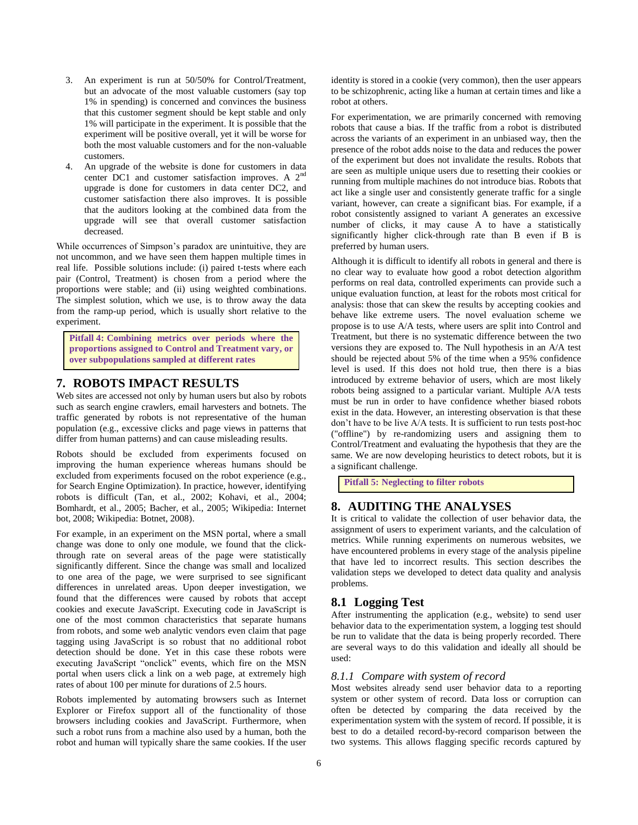- 3. An experiment is run at 50/50% for Control/Treatment, but an advocate of the most valuable customers (say top 1% in spending) is concerned and convinces the business that this customer segment should be kept stable and only 1% will participate in the experiment. It is possible that the experiment will be positive overall, yet it will be worse for both the most valuable customers and for the non-valuable customers.
- 4. An upgrade of the website is done for customers in data center DC1 and customer satisfaction improves. A 2nd upgrade is done for customers in data center DC2, and customer satisfaction there also improves. It is possible that the auditors looking at the combined data from the upgrade will see that overall customer satisfaction decreased.

While occurrences of Simpson's paradox are unintuitive, they are not uncommon, and we have seen them happen multiple times in real life. Possible solutions include: (i) paired t-tests where each pair (Control, Treatment) is chosen from a period where the proportions were stable; and (ii) using weighted combinations. The simplest solution, which we use, is to throw away the data from the ramp-up period, which is usually short relative to the experiment.

**Pitfall 4: Combining metrics over periods where the proportions assigned to Control and Treatment vary, or over subpopulations sampled at different rates**

## <span id="page-5-0"></span>**7. ROBOTS IMPACT RESULTS**

Web sites are accessed not only by human users but also by robots such as search engine crawlers, email harvesters and botnets. The traffic generated by robots is not representative of the human population (e.g., excessive clicks and page views in patterns that differ from human patterns) and can cause misleading results.

Robots should be excluded from experiments focused on improving the human experience whereas humans should be excluded from experiments focused on the robot experience (e.g., for Search Engine Optimization). In practice, however, identifying robots is difficult (Tan, et al., 2002; Kohavi, et al., 2004; Bomhardt, et al., 2005; Bacher, et al., 2005; Wikipedia: Internet bot, 2008; Wikipedia: Botnet, 2008).

For example, in an experiment on the MSN portal, where a small change was done to only one module, we found that the clickthrough rate on several areas of the page were statistically significantly different. Since the change was small and localized to one area of the page, we were surprised to see significant differences in unrelated areas. Upon deeper investigation, we found that the differences were caused by robots that accept cookies and execute JavaScript. Executing code in JavaScript is one of the most common characteristics that separate humans from robots, and some web analytic vendors even claim that page tagging using JavaScript is so robust that no additional robot detection should be done. Yet in this case these robots were executing JavaScript "onclick" events, which fire on the MSN portal when users click a link on a web page, at extremely high rates of about 100 per minute for durations of 2.5 hours.

Robots implemented by automating browsers such as Internet Explorer or Firefox support all of the functionality of those browsers including cookies and JavaScript. Furthermore, when such a robot runs from a machine also used by a human, both the robot and human will typically share the same cookies. If the user

identity is stored in a cookie (very common), then the user appears to be schizophrenic, acting like a human at certain times and like a robot at others.

For experimentation, we are primarily concerned with removing robots that cause a bias. If the traffic from a robot is distributed across the variants of an experiment in an unbiased way, then the presence of the robot adds noise to the data and reduces the power of the experiment but does not invalidate the results. Robots that are seen as multiple unique users due to resetting their cookies or running from multiple machines do not introduce bias. Robots that act like a single user and consistently generate traffic for a single variant, however, can create a significant bias. For example, if a robot consistently assigned to variant A generates an excessive number of clicks, it may cause A to have a statistically significantly higher click-through rate than B even if B is preferred by human users.

Although it is difficult to identify all robots in general and there is no clear way to evaluate how good a robot detection algorithm performs on real data, controlled experiments can provide such a unique evaluation function, at least for the robots most critical for analysis: those that can skew the results by accepting cookies and behave like extreme users. The novel evaluation scheme we propose is to use A/A tests, where users are split into Control and Treatment, but there is no systematic difference between the two versions they are exposed to. The Null hypothesis in an A/A test should be rejected about 5% of the time when a 95% confidence level is used. If this does not hold true, then there is a bias introduced by extreme behavior of users, which are most likely robots being assigned to a particular variant. Multiple A/A tests must be run in order to have confidence whether biased robots exist in the data. However, an interesting observation is that these don't have to be live A/A tests. It is sufficient to run tests post-hoc ("offline") by re-randomizing users and assigning them to Control/Treatment and evaluating the hypothesis that they are the same. We are now developing heuristics to detect robots, but it is a significant challenge.

**Pitfall 5: Neglecting to filter robots**

## <span id="page-5-1"></span>**8. AUDITING THE ANALYSES**

It is critical to validate the collection of user behavior data, the assignment of users to experiment variants, and the calculation of metrics. While running experiments on numerous websites, we have encountered problems in every stage of the analysis pipeline that have led to incorrect results. This section describes the validation steps we developed to detect data quality and analysis problems.

## **8.1 Logging Test**

After instrumenting the application (e.g., website) to send user behavior data to the experimentation system, a logging test should be run to validate that the data is being properly recorded. There are several ways to do this validation and ideally all should be used:

#### *8.1.1 Compare with system of record*

Most websites already send user behavior data to a reporting system or other system of record. Data loss or corruption can often be detected by comparing the data received by the experimentation system with the system of record. If possible, it is best to do a detailed record-by-record comparison between the two systems. This allows flagging specific records captured by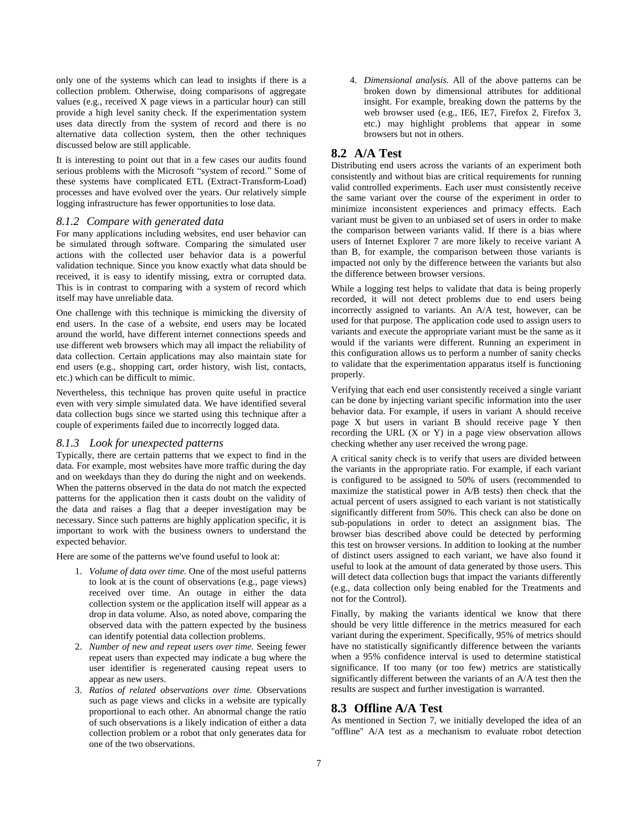only one of the systems which can lead to insights if there is a collection problem. Otherwise, doing comparisons of aggregate values (e.g., received X page views in a particular hour) can still provide a high level sanity check. If the experimentation system uses data directly from the system of record and there is no alternative data collection system, then the other techniques discussed below are still applicable.

It is interesting to point out that in a few cases our audits found serious problems with the Microsoft "system of record." Some of these systems have complicated ETL (Extract-Transform-Load) processes and have evolved over the years. Our relatively simple logging infrastructure has fewer opportunities to lose data.

#### *8.1.2 Compare with generated data*

For many applications including websites, end user behavior can be simulated through software. Comparing the simulated user actions with the collected user behavior data is a powerful validation technique. Since you know exactly what data should be received, it is easy to identify missing, extra or corrupted data. This is in contrast to comparing with a system of record which itself may have unreliable data.

One challenge with this technique is mimicking the diversity of end users. In the case of a website, end users may be located around the world, have different internet connections speeds and use different web browsers which may all impact the reliability of data collection. Certain applications may also maintain state for end users (e.g., shopping cart, order history, wish list, contacts, etc.) which can be difficult to mimic.

Nevertheless, this technique has proven quite useful in practice even with very simple simulated data. We have identified several data collection bugs since we started using this technique after a couple of experiments failed due to incorrectly logged data.

#### *8.1.3 Look for unexpected patterns*

Typically, there are certain patterns that we expect to find in the data. For example, most websites have more traffic during the day and on weekdays than they do during the night and on weekends. When the patterns observed in the data do not match the expected patterns for the application then it casts doubt on the validity of the data and raises a flag that a deeper investigation may be necessary. Since such patterns are highly application specific, it is important to work with the business owners to understand the expected behavior.

Here are some of the patterns we've found useful to look at:

- 1. *Volume of data over time.* One of the most useful patterns to look at is the count of observations (e.g., page views) received over time. An outage in either the data collection system or the application itself will appear as a drop in data volume. Also, as noted above, comparing the observed data with the pattern expected by the business can identify potential data collection problems.
- 2. *Number of new and repeat users over time.* Seeing fewer repeat users than expected may indicate a bug where the user identifier is regenerated causing repeat users to appear as new users.
- 3. *Ratios of related observations over time.* Observations such as page views and clicks in a website are typically proportional to each other. An abnormal change the ratio of such observations is a likely indication of either a data collection problem or a robot that only generates data for one of the two observations.

4. *Dimensional analysis.* All of the above patterns can be broken down by dimensional attributes for additional insight. For example, breaking down the patterns by the web browser used (e.g., IE6, IE7, Firefox 2, Firefox 3, etc.) may highlight problems that appear in some browsers but not in others.

## **8.2 A/A Test**

Distributing end users across the variants of an experiment both consistently and without bias are critical requirements for running valid controlled experiments. Each user must consistently receive the same variant over the course of the experiment in order to minimize inconsistent experiences and primacy effects. Each variant must be given to an unbiased set of users in order to make the comparison between variants valid. If there is a bias where users of Internet Explorer 7 are more likely to receive variant A than B, for example, the comparison between those variants is impacted not only by the difference between the variants but also the difference between browser versions.

While a logging test helps to validate that data is being properly recorded, it will not detect problems due to end users being incorrectly assigned to variants. An A/A test, however, can be used for that purpose. The application code used to assign users to variants and execute the appropriate variant must be the same as it would if the variants were different. Running an experiment in this configuration allows us to perform a number of sanity checks to validate that the experimentation apparatus itself is functioning properly.

Verifying that each end user consistently received a single variant can be done by injecting variant specific information into the user behavior data. For example, if users in variant A should receive page X but users in variant B should receive page Y then recording the URL (X or Y) in a page view observation allows checking whether any user received the wrong page.

A critical sanity check is to verify that users are divided between the variants in the appropriate ratio. For example, if each variant is configured to be assigned to 50% of users (recommended to maximize the statistical power in A/B tests) then check that the actual percent of users assigned to each variant is not statistically significantly different from 50%. This check can also be done on sub-populations in order to detect an assignment bias. The browser bias described above could be detected by performing this test on browser versions. In addition to looking at the number of distinct users assigned to each variant, we have also found it useful to look at the amount of data generated by those users. This will detect data collection bugs that impact the variants differently (e.g., data collection only being enabled for the Treatments and not for the Control).

Finally, by making the variants identical we know that there should be very little difference in the metrics measured for each variant during the experiment. Specifically, 95% of metrics should have no statistically significantly difference between the variants when a 95% confidence interval is used to determine statistical significance. If too many (or too few) metrics are statistically significantly different between the variants of an A/A test then the results are suspect and further investigation is warranted.

#### **8.3 Offline A/A Test**

As mentioned in Section [7,](#page-5-0) we initially developed the idea of an "offline" A/A test as a mechanism to evaluate robot detection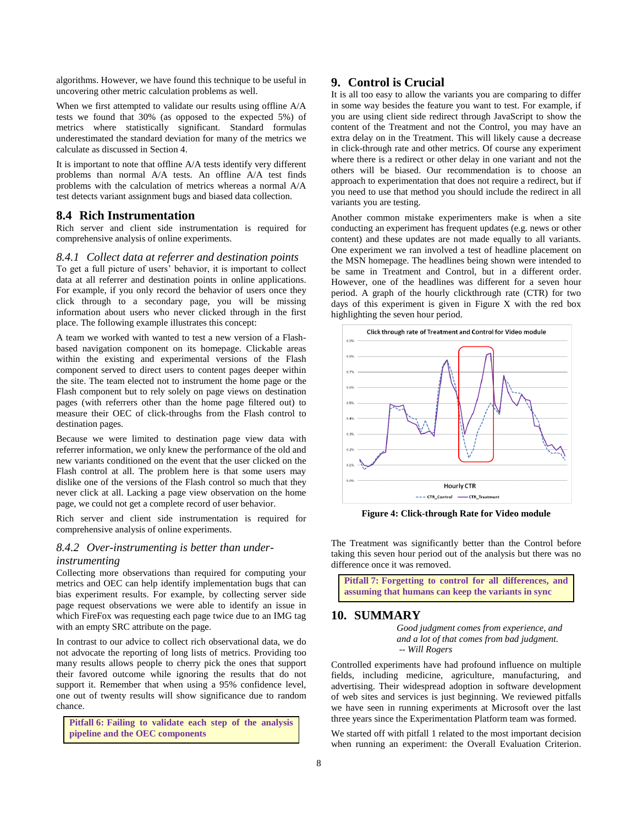algorithms. However, we have found this technique to be useful in uncovering other metric calculation problems as well.

When we first attempted to validate our results using offline A/A tests we found that 30% (as opposed to the expected 5%) of metrics where statistically significant. Standard formulas underestimated the standard deviation for many of the metrics we calculate as discussed in Section [4.](#page-3-1)

It is important to note that offline A/A tests identify very different problems than normal A/A tests. An offline A/A test finds problems with the calculation of metrics whereas a normal A/A test detects variant assignment bugs and biased data collection.

#### **8.4 Rich Instrumentation**

Rich server and client side instrumentation is required for comprehensive analysis of online experiments.

#### *8.4.1 Collect data at referrer and destination points*

To get a full picture of users' behavior, it is important to collect data at all referrer and destination points in online applications. For example, if you only record the behavior of users once they click through to a secondary page, you will be missing information about users who never clicked through in the first place. The following example illustrates this concept:

A team we worked with wanted to test a new version of a Flashbased navigation component on its homepage. Clickable areas within the existing and experimental versions of the Flash component served to direct users to content pages deeper within the site. The team elected not to instrument the home page or the Flash component but to rely solely on page views on destination pages (with referrers other than the home page filtered out) to measure their OEC of click-throughs from the Flash control to destination pages.

Because we were limited to destination page view data with referrer information, we only knew the performance of the old and new variants conditioned on the event that the user clicked on the Flash control at all. The problem here is that some users may dislike one of the versions of the Flash control so much that they never click at all. Lacking a page view observation on the home page, we could not get a complete record of user behavior.

Rich server and client side instrumentation is required for comprehensive analysis of online experiments.

## *8.4.2 Over-instrumenting is better than under-*

## *instrumenting*

Collecting more observations than required for computing your metrics and OEC can help identify implementation bugs that can bias experiment results. For example, by collecting server side page request observations we were able to identify an issue in which FireFox was requesting each page twice due to an IMG tag with an empty SRC attribute on the page.

In contrast to our advice to collect rich observational data, we do not advocate the reporting of long lists of metrics. Providing too many results allows people to cherry pick the ones that support their favored outcome while ignoring the results that do not support it. Remember that when using a 95% confidence level, one out of twenty results will show significance due to random chance.

**Pitfall 6: Failing to validate each step of the analysis pipeline and the OEC components**

#### **9. Control is Crucial**

It is all too easy to allow the variants you are comparing to differ in some way besides the feature you want to test. For example, if you are using client side redirect through JavaScript to show the content of the Treatment and not the Control, you may have an extra delay on in the Treatment. This will likely cause a decrease in click-through rate and other metrics. Of course any experiment where there is a redirect or other delay in one variant and not the others will be biased. Our recommendation is to choose an approach to experimentation that does not require a redirect, but if you need to use that method you should include the redirect in all variants you are testing.

Another common mistake experimenters make is when a site conducting an experiment has frequent updates (e.g. news or other content) and these updates are not made equally to all variants. One experiment we ran involved a test of headline placement on the MSN homepage. The headlines being shown were intended to be same in Treatment and Control, but in a different order. However, one of the headlines was different for a seven hour period. A graph of the hourly clickthrough rate (CTR) for two days of this experiment is given in Figure X with the red box highlighting the seven hour period.



**Figure 4: Click-through Rate for Video module**

The Treatment was significantly better than the Control before taking this seven hour period out of the analysis but there was no difference once it was removed.

**Pitfall 7: Forgetting to control for all differences, and assuming that humans can keep the variants in sync**

#### **10. SUMMARY**

*Good judgment comes from experience, and and a lot of that comes from bad judgment. -- Will Rogers*

Controlled experiments have had profound influence on multiple fields, including medicine, agriculture, manufacturing, and advertising. Their widespread adoption in software development of web sites and services is just beginning. We reviewed pitfalls we have seen in running experiments at Microsoft over the last three years since the Experimentation Platform team was formed.

We started off with pitfall 1 related to the most important decision when running an experiment: the Overall Evaluation Criterion.